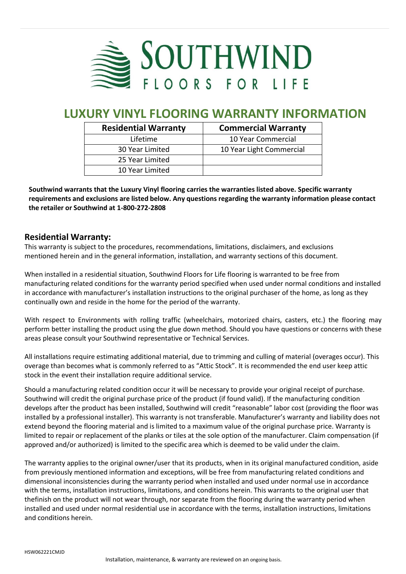

# **LUXURY VINYL FLOORING WARRANTY INFORMATION**

| <b>Residential Warranty</b> | <b>Commercial Warranty</b> |  |  |
|-----------------------------|----------------------------|--|--|
| Lifetime                    | 10 Year Commercial         |  |  |
| 30 Year Limited             | 10 Year Light Commercial   |  |  |
| 25 Year Limited             |                            |  |  |
| 10 Year Limited             |                            |  |  |

**Southwind warrants that the Luxury Vinyl flooring carries the warranties listed above. Specific warranty requirements and exclusions are listed below. Any questions regarding the warranty information please contact the retailer or Southwind at 1-800-272-2808**

### **Residential Warranty:**

This warranty is subject to the procedures, recommendations, limitations, disclaimers, and exclusions mentioned herein and in the general information, installation, and warranty sections of this document.

When installed in a residential situation, Southwind Floors for Life flooring is warranted to be free from manufacturing related conditions for the warranty period specified when used under normal conditions and installed in accordance with manufacturer's installation instructions to the original purchaser of the home, as long as they continually own and reside in the home for the period of the warranty.

With respect to Environments with rolling traffic (wheelchairs, motorized chairs, casters, etc.) the flooring may perform better installing the product using the glue down method. Should you have questions or concerns with these areas please consult your Southwind representative or Technical Services.

All installations require estimating additional material, due to trimming and culling of material (overages occur). This overage than becomes what is commonly referred to as "Attic Stock". It is recommended the end user keep attic stock in the event their installation require additional service.

Should a manufacturing related condition occur it will be necessary to provide your original receipt of purchase. Southwind will credit the original purchase price of the product (if found valid). If the manufacturing condition develops after the product has been installed, Southwind will credit "reasonable" labor cost (providing the floor was installed by a professional installer). This warranty is not transferable. Manufacturer's warranty and liability does not extend beyond the flooring material and is limited to a maximum value of the original purchase price. Warranty is limited to repair or replacement of the planks or tiles at the sole option of the manufacturer. Claim compensation (if approved and/or authorized) is limited to the specific area which is deemed to be valid under the claim.

The warranty applies to the original owner/user that its products, when in its original manufactured condition, aside from previously mentioned information and exceptions, will be free from manufacturing related conditions and dimensional inconsistencies during the warranty period when installed and used under normal use in accordance with the terms, installation instructions, limitations, and conditions herein. This warrants to the original user that thefinish on the product will not wear through, nor separate from the flooring during the warranty period when installed and used under normal residential use in accordance with the terms, installation instructions, limitations and conditions herein.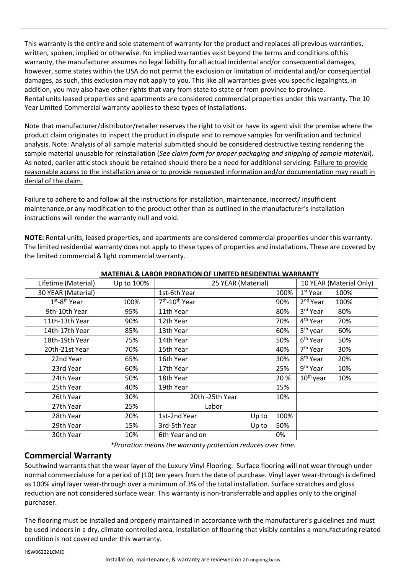This warranty is the entire and sole statement of warranty for the product and replaces all previous warranties, written, spoken, implied or otherwise. No implied warranties exist beyond the terms and conditions ofthis warranty, the manufacturer assumes no legal liability for all actual incidental and/or consequential damages, however, some states within the USA do not permit the exclusion or limitation of incidental and/or consequential damages, as such, this exclusion may not apply to you. This like all warranties gives you specific legalrights, in addition, you may also have other rights that vary from state to state or from province to province. Rental units leased properties and apartments are considered commercial properties under this warranty. The 10 Year Limited Commercial warranty applies to these types of installations.

Note that manufacturer/distributor/retailer reserves the right to visit or have its agent visit the premise where the product claim originates to inspect the product in dispute and to remove samples for verification and technical analysis. Note: Analysis of all sample material submitted should be considered destructive testing rendering the sample material unusable for reinstallation (*See claim form for proper packaging and shipping of sample material*). As noted, earlier attic stock should be retained should there be a need for additional servicing. Failure to provide reasonable access to the installation area or to provide requested information and/or documentation may result in denial of the claim.

Failure to adhere to and follow all the instructions for installation, maintenance, incorrect/ insufficient maintenance,or any modification to the product other than as outlined in the manufacturer's installation instructions will render the warranty null and void.

**NOTE:** Rental units, leased properties, and apartments are considered commercial properties under this warranty. The limited residential warranty does not apply to these types of properties and installations. These are covered by the limited commercial & light commercial warranty.

| Lifetime (Material) | Up to 100% | 25 YEAR (Material)                     |      | 10 YEAR (Material Only) |      |
|---------------------|------------|----------------------------------------|------|-------------------------|------|
| 30 YEAR (Material)  |            | 1st-6th Year                           | 100% | $1st$ Year              | 100% |
| $1st - 8th$ Year    | 100%       | 7 <sup>th</sup> -10 <sup>th</sup> Year | 90%  | 2 <sup>nd</sup> Year    | 100% |
| 9th-10th Year       | 95%        | 11th Year                              | 80%  | 3rd Year                | 80%  |
| 11th-13th Year      | 90%        | 12th Year                              | 70%  | 4 <sup>th</sup> Year    | 70%  |
| 14th-17th Year      | 85%        | 13th Year                              | 60%  | 5 <sup>th</sup> year    | 60%  |
| 18th-19th Year      | 75%        | 14th Year                              | 50%  | 6 <sup>th</sup> Year    | 50%  |
| 20th-21st Year      | 70%        | 15th Year                              | 40%  | 7 <sup>th</sup> Year    | 30%  |
| 22nd Year           | 65%        | 16th Year                              | 30%  | 8 <sup>th</sup> Year    | 20%  |
| 23rd Year           | 60%        | 17th Year                              | 25%  | 9 <sup>th</sup> Year    | 10%  |
| 24th Year           | 50%        | 18th Year                              | 20%  | $10th$ year             | 10%  |
| 25th Year           | 40%        | 19th Year                              | 15%  |                         |      |
| 26th Year           | 30%        | 20th -25th Year                        | 10%  |                         |      |
| 27th Year           | 25%        | Labor                                  |      |                         |      |
| 28th Year           | 20%        | 1st-2nd Year<br>Up to                  | 100% |                         |      |
| 29th Year           | 15%        | 3rd-5th Year<br>Up to                  | 50%  |                         |      |
| 30th Year           | 10%        | 6th Year and on                        | 0%   |                         |      |

#### **MATERIAL & LABOR PRORATION OF LIMITED RESIDENTIAL WARRANTY**

*\*Proration means the warranty protection reduces over time.*

### **Commercial Warranty**

Southwind warrants that the wear layer of the Luxury Vinyl Flooring. Surface flooring will not wear through under normal commercialuse for a period of (10) ten years from the date of purchase. Vinyl layer wear-through is defined as 100% vinyl layer wear-through over a minimum of 3% of the total installation. Surface scratches and gloss reduction are not considered surface wear. This warranty is non-transferrable and applies only to the original purchaser.

The flooring must be installed and properly maintained in accordance with the manufacturer's guidelines and must be used indoors in a dry, climate-controlled area. Installation of flooring that visibly contains a manufacturing related condition is not covered under this warranty.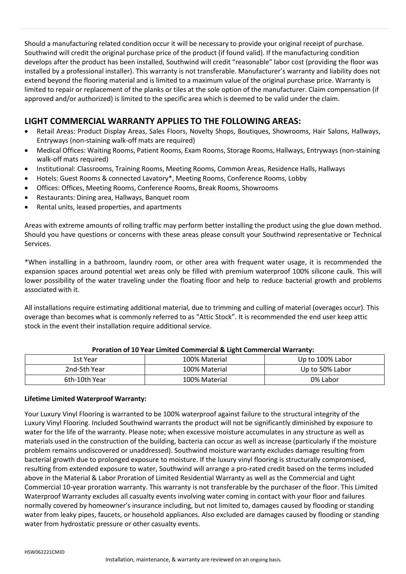Should a manufacturing related condition occur it will be necessary to provide your original receipt of purchase. Southwind will credit the original purchase price of the product (if found valid). If the manufacturing condition develops after the product has been installed, Southwind will credit "reasonable" labor cost (providing the floor was installed by a professional installer). This warranty is not transferable. Manufacturer's warranty and liability does not extend beyond the flooring material and is limited to a maximum value of the original purchase price. Warranty is limited to repair or replacement of the planks or tiles at the sole option of the manufacturer. Claim compensation (if approved and/or authorized) is limited to the specific area which is deemed to be valid under the claim.

### **LIGHT COMMERCIAL WARRANTY APPLIES TO THE FOLLOWING AREAS:**

- Retail Areas: Product Display Areas, Sales Floors, Novelty Shops, Boutiques, Showrooms, Hair Salons, Hallways, Entryways (non-staining walk-off mats are required)
- Medical Offices: Waiting Rooms, Patient Rooms, Exam Rooms, Storage Rooms, Hallways, Entryways (non-staining walk-off mats required)
- Institutional: Classrooms, Training Rooms, Meeting Rooms, Common Areas, Residence Halls, Hallways
- Hotels: Guest Rooms & connected Lavatory\*, Meeting Rooms, Conference Rooms, Lobby
- Offices: Offices, Meeting Rooms, Conference Rooms, Break Rooms, Showrooms
- Restaurants: Dining area, Hallways, Banquet room
- Rental units, leased properties, and apartments

Areas with extreme amounts of rolling traffic may perform better installing the product using the glue down method. Should you have questions or concerns with these areas please consult your Southwind representative or Technical Services.

\*When installing in a bathroom, laundry room, or other area with frequent water usage, it is recommended the expansion spaces around potential wet areas only be filled with premium waterproof 100% silicone caulk. This will lower possibility of the water traveling under the floating floor and help to reduce bacterial growth and problems associated with it.

All installations require estimating additional material, due to trimming and culling of material (overages occur). This overage than becomes what is commonly referred to as "Attic Stock". It is recommended the end user keep attic stock in the event their installation require additional service.

| 1st Year      | 100% Material | Up to 100% Labor |  |  |  |
|---------------|---------------|------------------|--|--|--|
| 2nd-5th Year  | 100% Material | Up to 50% Labor  |  |  |  |
| 6th-10th Year | 100% Material | 0% Labor         |  |  |  |

#### **Proration of 10 Year Limited Commercial & Light Commercial Warranty:**

#### **Lifetime Limited Waterproof Warranty:**

Your Luxury Vinyl Flooring is warranted to be 100% waterproof against failure to the structural integrity of the Luxury Vinyl Flooring. Included Southwind warrants the product will not be significantly diminished by exposure to water for the life of the warranty. Please note; when excessive moisture accumulates in any structure as well as materials used in the construction of the building, bacteria can occur as well as increase (particularly if the moisture problem remains undiscovered or unaddressed). Southwind moisture warranty excludes damage resulting from bacterial growth due to prolonged exposure to moisture. If the luxury vinyl flooring is structurally compromised, resulting from extended exposure to water, Southwind will arrange a pro-rated credit based on the terms included above in the Material & Labor Proration of Limited Residential Warranty as well as the Commercial and Light Commercial 10-year proration warranty. This warranty is not transferable by the purchaser of the floor. This Limited Waterproof Warranty excludes all casualty events involving water coming in contact with your floor and failures normally covered by homeowner's insurance including, but not limited to, damages caused by flooding or standing water from leaky pipes, faucets, or household appliances. Also excluded are damages caused by flooding or standing water from hydrostatic pressure or other casualty events.